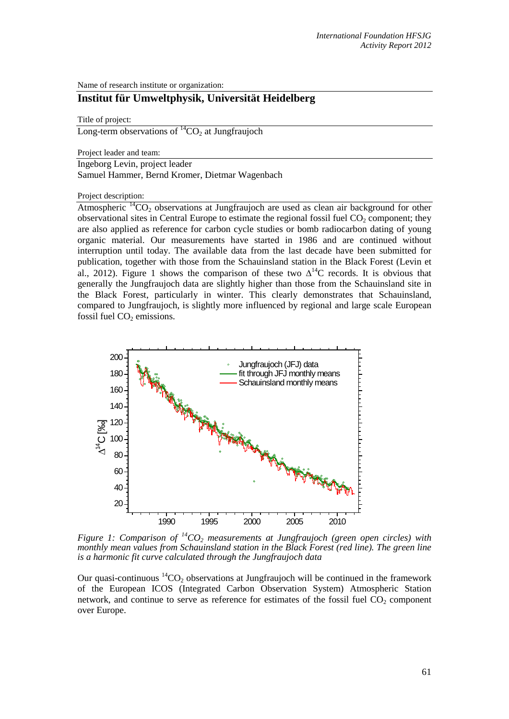Name of research institute or organization:

# **Institut für Umweltphysik, Universität Heidelberg**

#### Title of project:

Long-term observations of  ${}^{14}CO_2$  at Jungfraujoch

Project leader and team:

Ingeborg Levin, project leader

Samuel Hammer, Bernd Kromer, Dietmar Wagenbach

Project description:

Atmospheric  ${}^{14}CO_2$  observations at Jungfraujoch are used as clean air background for other observational sites in Central Europe to estimate the regional fossil fuel  $CO<sub>2</sub>$  component; they are also applied as reference for carbon cycle studies or bomb radiocarbon dating of young organic material. Our measurements have started in 1986 and are continued without interruption until today. The available data from the last decade have been submitted for publication, together with those from the Schauinsland station in the Black Forest (Levin et al., 2012). Figure 1 shows the comparison of these two  $\Delta^{14}$ C records. It is obvious that generally the Jungfraujoch data are slightly higher than those from the Schauinsland site in the Black Forest, particularly in winter. This clearly demonstrates that Schauinsland, compared to Jungfraujoch, is slightly more influenced by regional and large scale European fossil fuel  $CO<sub>2</sub>$  emissions.



*Figure 1: Comparison of*  ${}^{14}CO_2$  *measurements at Jungfraujoch (green open circles) with monthly mean values from Schauinsland station in the Black Forest (red line). The green line is a harmonic fit curve calculated through the Jungfraujoch data*

Our quasi-continuous  ${}^{14}CO_2$  observations at Jungfraujoch will be continued in the framework of the European ICOS (Integrated Carbon Observation System) Atmospheric Station network, and continue to serve as reference for estimates of the fossil fuel  $CO<sub>2</sub>$  component over Europe.